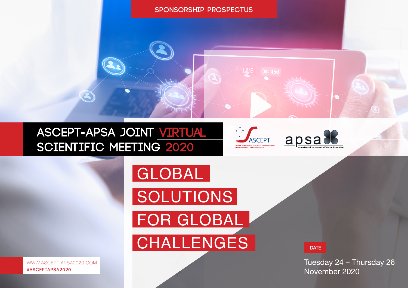# **Sponsorship prospectus**

# **ASCEPT-APSA JOINT VIRTUAL<br>SCIENTIFIC MEETING 2020**





**SOLUTIONS** FOR GLOBAL **CHALLENGES** 

GLOBAL

**DATE** 

Tuesday 24 - Thursday 26 November 2020

 WWW.ASCEPT-APSA2020.COM  **#ASCEPTAPSA2020**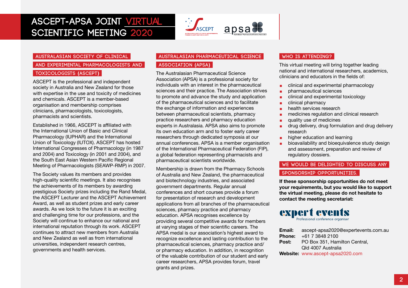## **ASCEPT-APSA JOINT VIRTUAL SCIENTIFIC MEETING 2020**



### **AUSTRALASIAN SOCIETY OF CLINICAL**

### AND EXPERIMENTAL PHARMACOLOGISTS AND **Toxicologists (ASCEPT)**

ASCEPT is the professional and independent society in Australia and New Zealand for those with expertise in the use and toxicity of medicines and chemicals. ASCEPT is a member-based organisation and membership comprises clinicians, pharmacologists, toxicologists, pharmacists and scientists.

Established in 1966, ASCEPT is affiliated with the International Union of Basic and Clinical Pharmacology (IUPHAR) and the International Union of Toxicology (IUTOX). ASCEPT has hosted International Congresses of Pharmacology (in 1987 and 2004) and Toxicology (in 2001 and 2004), and the South East Asian Western Pacific Regional Meeting of Pharmacologists (SEAWP-RMP) in 2007.

The Society values its members and provides high-quality scientific meetings. It also recognises the achievements of its members by awarding prestigious Society prizes including the Rand Medal, the ASCEPT Lecturer and the ASCEPT Achievement Award, as well as student prizes and early career awards. As we look to the future it is an exciting and challenging time for our professions, and the Society will continue to enhance our national and international reputation through its work. ASCEPT continues to attract new members from Australia and New Zealand as well as from international universities, independent research centres, governments and health services.

### **Australas ian Pharmaceutical Science**

### **Association (APSA)**

The Australasian Pharmaceutical Science Association (APSA) is a professional society for individuals with an interest in the pharmaceutical sciences and their practice. The Association strives to promote and advance the study and application of the pharmaceutical sciences and to facilitate the exchange of information and experiences between pharmaceutical scientists, pharmacy practice researchers and pharmacy education experts in Australasia. APSA also aims to promote its own education arm and to foster early career researchers through dedicated symposia at our annual conferences. APSA is a member organisation of the International Pharmaceutical Federation (FIP), a global federation representing pharmacists and pharmaceutical scientists worldwide.

Membership is drawn from the Pharmacy Schools of Australia and New Zealand, the pharmaceutical and biotechnology industries, and associated government departments. Regular annual conferences and short courses provide a forum for presentation of research and development applications from all branches of the pharmaceutical sciences, pharmacy practice and pharmacy education. APSA recognises excellence by providing several competitive awards for members at varying stages of their scientific careers. The APSA medal is our association's highest award to recognize excellence and lasting contribution to the pharmaceutical sciences, pharmacy practice and/ or pharmacy education. In addition, in recognition of the valuable contribution of our student and early career researchers, APSA provides forum, travel grants and prizes.

### **Who is attending?**

This virtual meeting will bring together leading national and international researchers, academics, clinicians and educators in the fields of:

- clinical and experimental pharmacology
- pharmaceutical sciences
- clinical and experimental toxicology
- clinical pharmacy
- health services research
- medicines regulation and clinical research
- quality use of medicines
- **■** drug delivery, drug formulation and drug delivery research
- higher education and learning
- bioavailability and bioequivalence study design and assessment, preparation and review of regulatory dossiers.

### **We would be delighted to discuss any**

### SPONSORSHIP OPPORTUNITIES.

**If these sponsorship opportunities do not meet your requirements, but you would like to support the virtual meeting, please do not hesitate to contact the meeting secretariat:**

### expert events Professional conference organise

**Email:** ascept-apsa2020@expertevents.com.au **Phone:** +61 7 3848 2100 Post: PO Box 351, Hamilton Central, Qld 4007 Australia **Website:** www.ascept-apsa2020.com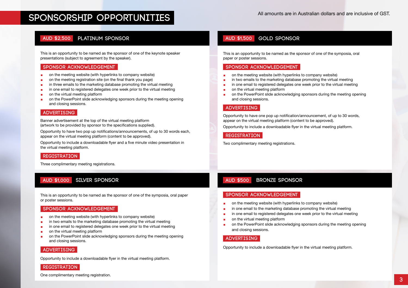### **Platinum SPONSOR AUD \$2,500**

This is an opportunity to be named as the sponsor of one of the keynote speaker presentations (subject to agreement by the speaker).

### **Sponsor acknowledgement**

- on the meeting website (with hyperlinks to company website)
- on the meeting registration site (on the final thank you page)
- in three emails to the marketing database promoting the virtual meeting
- in one email to registered delegates one week prior to the virtual meeting
- on the virtual meeting platform
- on the PowerPoint slide acknowledging sponsors during the meeting opening and closing sessions.

### **Advertis ing**

Banner advertisement at the top of the virtual meeting platform (artwork to be provided by sponsor to the specifications supplied).

Opportunity to have two pop up notifications/announcements, of up to 30 words each, appear on the virtual meeting platform (content to be approved).

Opportunity to include a downloadable flyer and a five minute video presentation in the virtual meeting platform.

### **Registration**

Three complimentary meeting registrations.

### **SILVER sponsor AUD \$1,000 BRONZE sponsor**

This is an opportunity to be named as the sponsor of one of the symposia, oral paper or poster sessions.

### **Sponsor acknowledgement**

- on the meeting website (with hyperlinks to company website)
- in two emails to the marketing database promoting the virtual meeting
- in one email to registered delegates one week prior to the virtual meeting
- on the virtual meeting platform
- on the PowerPoint slide acknowledging sponsors during the meeting opening and closing sessions.

### **Advertis ing**

Opportunity to include a downloadable flyer in the virtual meeting platform.

### **Registration**

### **GOLD SPONSOR AUD \$1,500**

This is an opportunity to be named as the sponsor of one of the symposia, oral paper or poster sessions.

### **Sponsor acknowledgement**

- on the meeting website (with hyperlinks to company website)
- in two emails to the marketing database promoting the virtual meeting
- in one email to registered delegates one week prior to the virtual meeting<br>■ on the virtual meeting platform
- on the virtual meeting platform
- on the PowerPoint slide acknowledging sponsors during the meeting opening and closing sessions.

### **Advertis ing**

Opportunity to have one pop up notification/announcement, of up to 30 words, appear on the virtual meeting platform (content to be approved).

Opportunity to include a downloadable flyer in the virtual meeting platform.

### **Registration**

Two complimentary meeting registrations.

### **AUD \$500**

### **Sponsor acknowledgement**

- on the meeting website (with hyperlinks to company website)
- in one email to the marketing database promoting the virtual meeting
- in one email to registered delegates one week prior to the virtual meeting
- on the virtual meeting platform
- on the PowerPoint slide acknowledging sponsors during the meeting opening and closing sessions.

### **Advertis ing**

Opportunity to include a downloadable flyer in the virtual meeting platform.

One complimentary meeting registration.